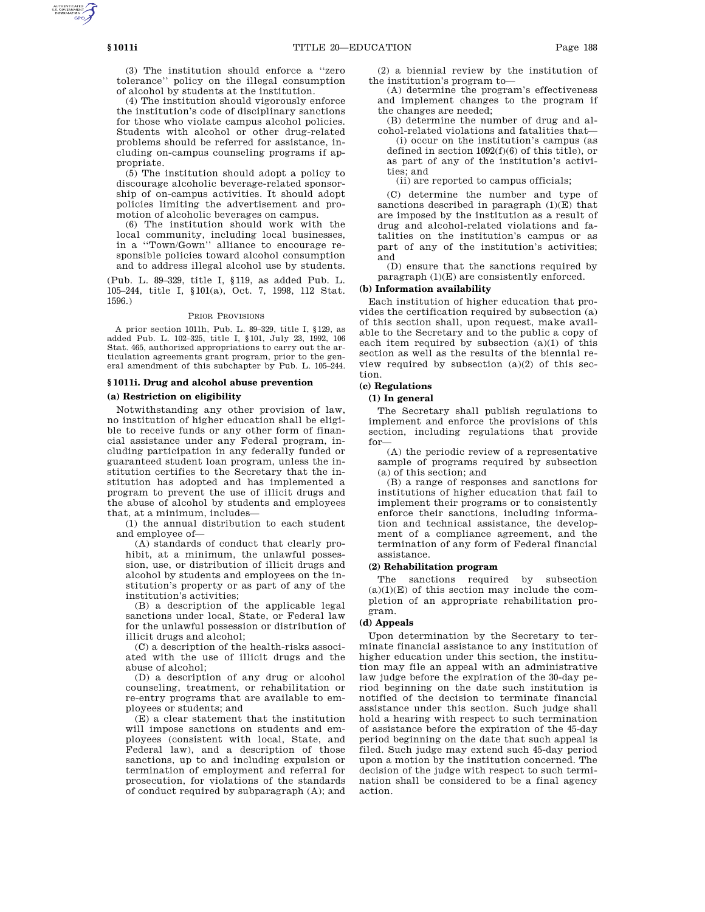(3) The institution should enforce a ''zero tolerance'' policy on the illegal consumption of alcohol by students at the institution.

(4) The institution should vigorously enforce the institution's code of disciplinary sanctions for those who violate campus alcohol policies. Students with alcohol or other drug-related problems should be referred for assistance, including on-campus counseling programs if appropriate.

(5) The institution should adopt a policy to discourage alcoholic beverage-related sponsorship of on-campus activities. It should adopt policies limiting the advertisement and promotion of alcoholic beverages on campus.

(6) The institution should work with the local community, including local businesses, in a ''Town/Gown'' alliance to encourage responsible policies toward alcohol consumption and to address illegal alcohol use by students.

(Pub. L. 89–329, title I, §119, as added Pub. L. 105–244, title I, §101(a), Oct. 7, 1998, 112 Stat. 1596.)

## PRIOR PROVISIONS

A prior section 1011h, Pub. L. 89–329, title I, §129, as added Pub. L. 102–325, title I, §101, July 23, 1992, 106 Stat. 465, authorized appropriations to carry out the articulation agreements grant program, prior to the general amendment of this subchapter by Pub. L. 105–244.

#### **§ 1011i. Drug and alcohol abuse prevention**

## **(a) Restriction on eligibility**

Notwithstanding any other provision of law, no institution of higher education shall be eligible to receive funds or any other form of financial assistance under any Federal program, including participation in any federally funded or guaranteed student loan program, unless the institution certifies to the Secretary that the institution has adopted and has implemented a program to prevent the use of illicit drugs and the abuse of alcohol by students and employees that, at a minimum, includes—

(1) the annual distribution to each student and employee of—

(A) standards of conduct that clearly prohibit, at a minimum, the unlawful possession, use, or distribution of illicit drugs and alcohol by students and employees on the institution's property or as part of any of the institution's activities;

(B) a description of the applicable legal sanctions under local, State, or Federal law for the unlawful possession or distribution of illicit drugs and alcohol;

(C) a description of the health-risks associated with the use of illicit drugs and the abuse of alcohol;

(D) a description of any drug or alcohol counseling, treatment, or rehabilitation or re-entry programs that are available to employees or students; and

(E) a clear statement that the institution will impose sanctions on students and employees (consistent with local, State, and Federal law), and a description of those sanctions, up to and including expulsion or termination of employment and referral for prosecution, for violations of the standards of conduct required by subparagraph (A); and

(2) a biennial review by the institution of the institution's program to—

(A) determine the program's effectiveness and implement changes to the program if the changes are needed;

(B) determine the number of drug and alcohol-related violations and fatalities that—

(i) occur on the institution's campus (as defined in section 1092(f)(6) of this title), or as part of any of the institution's activities; and

(ii) are reported to campus officials;

(C) determine the number and type of sanctions described in paragraph  $(1)(E)$  that are imposed by the institution as a result of drug and alcohol-related violations and fatalities on the institution's campus or as part of any of the institution's activities; and

(D) ensure that the sanctions required by paragraph (1)(E) are consistently enforced.

# **(b) Information availability**

Each institution of higher education that provides the certification required by subsection (a) of this section shall, upon request, make available to the Secretary and to the public a copy of each item required by subsection (a)(1) of this section as well as the results of the biennial review required by subsection  $(a)(2)$  of this section.

# **(c) Regulations**

# **(1) In general**

The Secretary shall publish regulations to implement and enforce the provisions of this section, including regulations that provide for—

(A) the periodic review of a representative sample of programs required by subsection (a) of this section; and

(B) a range of responses and sanctions for institutions of higher education that fail to implement their programs or to consistently enforce their sanctions, including information and technical assistance, the development of a compliance agreement, and the termination of any form of Federal financial assistance.

# **(2) Rehabilitation program**

The sanctions required by subsection  $(a)(1)(E)$  of this section may include the completion of an appropriate rehabilitation program.

#### **(d) Appeals**

Upon determination by the Secretary to terminate financial assistance to any institution of higher education under this section, the institution may file an appeal with an administrative law judge before the expiration of the 30-day period beginning on the date such institution is notified of the decision to terminate financial assistance under this section. Such judge shall hold a hearing with respect to such termination of assistance before the expiration of the 45-day period beginning on the date that such appeal is filed. Such judge may extend such 45-day period upon a motion by the institution concerned. The decision of the judge with respect to such termination shall be considered to be a final agency action.